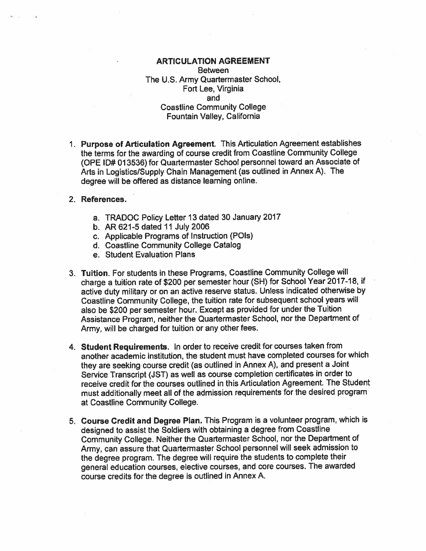## **ARTICULATION AGREEMENT Between** The U.S. Army Quartermaster School, Fort Lee, Virginia and **Coastline Community College** Fountain Valley, California

- 1. Purpose of Articulation Agreement. This Articulation Agreement establishes the terms for the awarding of course credit from Coastline Community College (OPE ID# 013536) for Quartermaster School personnel toward an Associate of Arts in Logistics/Supply Chain Management (as outlined in Annex A). The degree will be offered as distance learning online.
- 2. References.
	- a. TRADOC Policy Letter 13 dated 30 January 2017
	- b. AR 621-5 dated 11 July 2006
	- c. Applicable Programs of Instruction (POIs)
	- d. Coastline Community College Catalog
	- e. Student Evaluation Plans
- 3. Tuition. For students in these Programs, Coastline Community College will charge a tuition rate of \$200 per semester hour (SH) for School Year 2017-18, if active duty military or on an active reserve status. Unless indicated otherwise by Coastline Community College, the tuition rate for subsequent school years will also be \$200 per semester hour. Except as provided for under the Tuition Assistance Program, neither the Quartermaster School, nor the Department of Army, will be charged for tuition or any other fees.
- 4. Student Requirements. In order to receive credit for courses taken from another academic institution, the student must have completed courses for which they are seeking course credit (as outlined in Annex A), and present a Joint Service Transcript (JST) as well as course completion certificates in order to receive credit for the courses outlined in this Articulation Agreement. The Student must additionally meet all of the admission requirements for the desired program at Coastline Community College.
- 5. Course Credit and Degree Plan. This Program is a volunteer program, which is designed to assist the Soldiers with obtaining a degree from Coastline Community College. Neither the Quartermaster School, nor the Department of Army, can assure that Quartermaster School personnel will seek admission to the degree program. The degree will require the students to complete their general education courses, elective courses, and core courses. The awarded course credits for the degree is outlined in Annex A.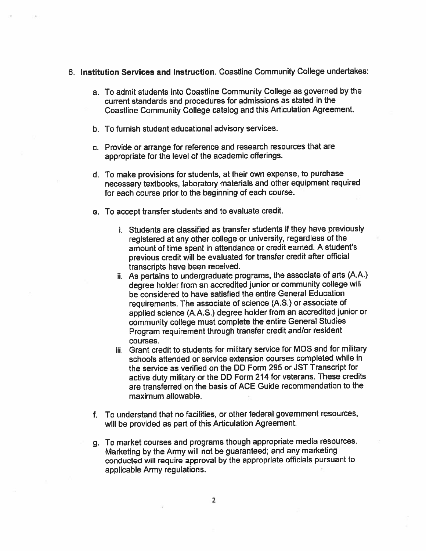- 6. Institution Services and Instruction. Coastline Community College undertakes:
	- a. To admit students into Coastline Community College as governed by the current standards and procedures for admissions as stated in the Coastline Community College catalog and this Articulation Agreement.
	- b. To furnish student educational advisory services.
	- c. Provide or arrange for reference and research resources that are appropriate for the level of the academic offerings.
	- d. To make provisions for students, at their own expense, to purchase necessary textbooks, laboratory materials and other equipment required for each course prior to the beginning of each course.
	- e. To accept transfer students and to evaluate credit.
		- i. Students are classified as transfer students if they have previously registered at any other college or university, regardless of the amount of time spent in attendance or credit earned. A student's previous credit will be evaluated for transfer credit after official transcripts have been received.
		- ii. As pertains to undergraduate programs, the associate of arts (A.A.) degree holder from an accredited junior or community college will be considered to have satisfied the entire General Education requirements. The associate of science (A.S.) or associate of applied science (A.A.S.) degree holder from an accredited junior or community college must complete the entire General Studies Program requirement through transfer credit and/or resident courses.
		- iii. Grant credit to students for military service for MOS and for military schools attended or service extension courses completed while in the service as verified on the DD Form 295 or JST Transcript for active duty military or the DD Form 214 for veterans. These credits are transferred on the basis of ACE Guide recommendation to the maximum allowable.
	- f. To understand that no facilities, or other federal government resources, will be provided as part of this Articulation Agreement.
	- g. To market courses and programs though appropriate media resources. Marketing by the Army will not be guaranteed; and any marketing conducted will require approval by the appropriate officials pursuant to applicable Army regulations.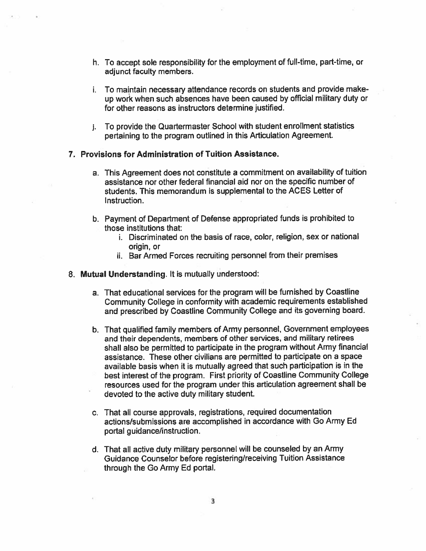- h. To accept sole responsibility for the employment of full-time, part-time, or adjunct faculty members.
- i. To maintain necessary attendance records on students and provide makeup work when such absences have been caused by official military duty or for other reasons as instructors determine justified.
- j. To provide the Quartermaster School with student enrollment statistics pertaining to the program outlined in this Articulation Agreement.

## 7. Provisions for Administration of Tuition Assistance.

- a. This Agreement does not constitute a commitment on availability of tuition assistance nor other federal financial aid nor on the specific number of students. This memorandum is supplemental to the ACES Letter of Instruction.
- b. Payment of Department of Defense appropriated funds is prohibited to those institutions that:
	- i. Discriminated on the basis of race, color, religion, sex or national origin, or
	- ii. Bar Armed Forces recruiting personnel from their premises
- 8. Mutual Understanding. It is mutually understood:
	- a. That educational services for the program will be furnished by Coastline Community College in conformity with academic requirements established and prescribed by Coastline Community College and its governing board.
	- b. That qualified family members of Army personnel, Government employees and their dependents, members of other services, and military retirees shall also be permitted to participate in the program without Army financial assistance. These other civilians are permitted to participate on a space available basis when it is mutually agreed that such participation is in the best interest of the program. First priority of Coastline Community College resources used for the program under this articulation agreement shall be devoted to the active duty military student.
	- c. That all course approvals, registrations, required documentation actions/submissions are accomplished in accordance with Go Army Ed portal guidance/instruction.
	- d. That all active duty military personnel will be counseled by an Army Guidance Counselor before registering/receiving Tuition Assistance through the Go Army Ed portal.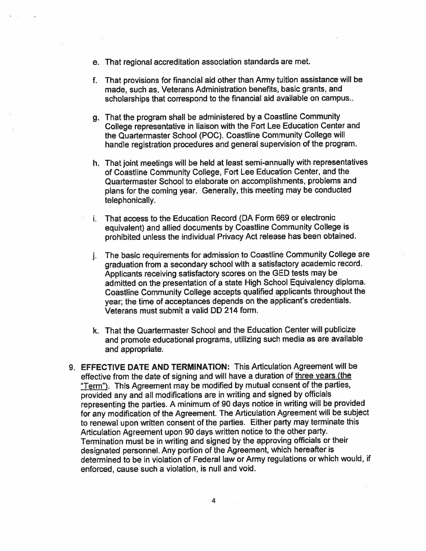- e. That regional accreditation association standards are met.
- f. That provisions for financial aid other than Army tuition assistance will be made, such as, Veterans Administration benefits, basic grants, and scholarships that correspond to the financial aid available on campus..
- g. That the program shall be administered by a Coastline Community College representative in liaison with the Fort Lee Education Center and the Quartermaster School (POC). Coastline Community College will handle registration procedures and general supervision of the program.
- h. That joint meetings will be held at least semi-annually with representatives of Coastline Community College, Fort Lee Education Center, and the Quartermaster School to elaborate on accomplishments, problems and plans for the coming year. Generally, this meeting may be conducted telephonically.
- i. That access to the Education Record (DA Form 669 or electronic equivalent) and allied documents by Coastline Community College is prohibited unless the individual Privacy Act release has been obtained.
- j. The basic requirements for admission to Coastline Community College are graduation from a secondary school with a satisfactory academic record. Applicants receiving satisfactory scores on the GED tests may be admitted on the presentation of a state High School Equivalency diploma. Coastline Community College accepts qualified applicants throughout the year; the time of acceptances depends on the applicant's credentials. Veterans must submit a valid DD 214 form.
- k. That the Quartermaster School and the Education Center will publicize and promote educational programs, utilizing such media as are available and appropriate.
- 9. EFFECTIVE DATE AND TERMINATION: This Articulation Agreement will be effective from the date of signing and will have a duration of three years (the "Term"). This Agreement may be modified by mutual consent of the parties, provided any and all modifications are in writing and signed by officials representing the parties. A minimum of 90 days notice in writing will be provided for any modification of the Agreement. The Articulation Agreement will be subject to renewal upon written consent of the parties. Either party may terminate this Articulation Agreement upon 90 days written notice to the other party. Termination must be in writing and signed by the approving officials or their designated personnel. Any portion of the Agreement, which hereafter is determined to be in violation of Federal law or Army regulations or which would, if enforced, cause such a violation, is null and void.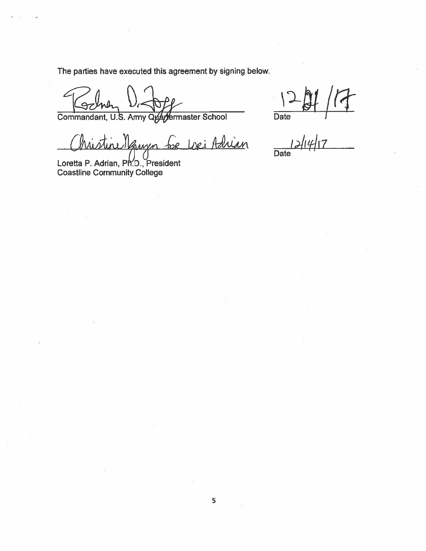The parties have executed this agreement by signing below.

 $\angle$ 

Commandant, U.S. Army Quartermaster School

rellauren for Lori Adrian

Loretta P. Adrian, Ph.D., President<br>Coastline Community College

Date  $\frac{1}{2}$  $\overline{Date}$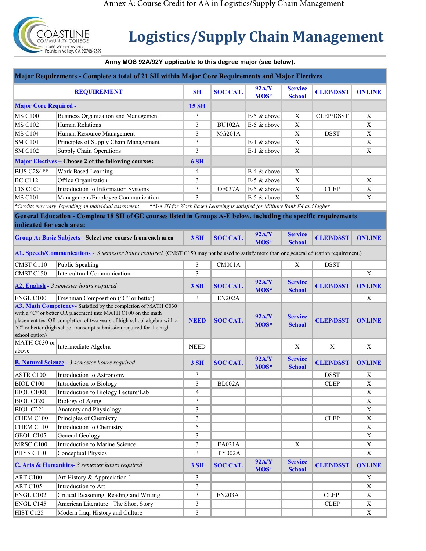

## **Logistics/Supply Chain Management**

## **Army MOS 92A/92Y applicable to this degree major (see below).**

| Major Requirements - Complete a total of 21 SH within Major Core Requirements and Major Electives                                                                                                                                                                                                    |                                                                                                                  |                |                 |                                                                               |                                 |                  |                         |  |  |
|------------------------------------------------------------------------------------------------------------------------------------------------------------------------------------------------------------------------------------------------------------------------------------------------------|------------------------------------------------------------------------------------------------------------------|----------------|-----------------|-------------------------------------------------------------------------------|---------------------------------|------------------|-------------------------|--|--|
| <b>REQUIREMENT</b>                                                                                                                                                                                                                                                                                   |                                                                                                                  | <b>SH</b>      | <b>SOC CAT.</b> | <b>92A/Y</b><br>MOS*                                                          | <b>Service</b><br><b>School</b> | <b>CLEP/DSST</b> | <b>ONLINE</b>           |  |  |
| <b>Major Core Required -</b>                                                                                                                                                                                                                                                                         |                                                                                                                  | <b>15 SH</b>   |                 |                                                                               |                                 |                  |                         |  |  |
| <b>MS C100</b>                                                                                                                                                                                                                                                                                       | <b>Business Organization and Management</b>                                                                      | 3              |                 | E-5 & above                                                                   | $\overline{\mathbf{X}}$         | <b>CLEP/DSST</b> | $\overline{\textbf{X}}$ |  |  |
| <b>MS C102</b>                                                                                                                                                                                                                                                                                       | <b>Human Relations</b>                                                                                           | 3              | <b>BU102A</b>   | E-5 & above                                                                   | $\mathbf X$                     |                  | $\mathbf X$             |  |  |
| <b>MS C104</b>                                                                                                                                                                                                                                                                                       | Human Resource Management                                                                                        | 3              | <b>MG201A</b>   |                                                                               | $\mathbf X$                     | <b>DSST</b>      | $\mathbf X$             |  |  |
| <b>SM C101</b>                                                                                                                                                                                                                                                                                       | Principles of Supply Chain Management                                                                            | 3              |                 | E-1 & above                                                                   | $\mathbf X$                     |                  | $\mathbf X$             |  |  |
| <b>SM C102</b>                                                                                                                                                                                                                                                                                       | <b>Supply Chain Operations</b>                                                                                   | 3              |                 | E-1 & above                                                                   | $\mathbf X$                     |                  | $\mathbf X$             |  |  |
|                                                                                                                                                                                                                                                                                                      | Major Electives - Choose 2 of the following courses:                                                             | 6 SH           |                 |                                                                               |                                 |                  |                         |  |  |
| <b>BUS C284**</b>                                                                                                                                                                                                                                                                                    | Work Based Learning                                                                                              | $\overline{4}$ |                 | $E-4$ & above                                                                 | X                               |                  |                         |  |  |
| <b>BC C112</b>                                                                                                                                                                                                                                                                                       | Office Organization                                                                                              | 3              |                 | $E-5$ & above                                                                 | $\mathbf X$                     |                  | X                       |  |  |
| <b>CIS C100</b>                                                                                                                                                                                                                                                                                      | Introduction to Information Systems                                                                              | 3              | OF037A          | E-5 & above                                                                   | $\mathbf X$                     | <b>CLEP</b>      | $\mathbf X$             |  |  |
| <b>MS C101</b>                                                                                                                                                                                                                                                                                       | Management/Employee Communication                                                                                | 3              |                 | $E-5$ & above                                                                 | $\mathbf X$                     |                  | $\mathbf X$             |  |  |
|                                                                                                                                                                                                                                                                                                      | *Credits may vary depending on individual assessment                                                             |                |                 | **3-4 SH for Work Based Learning is satisfied for Military Rank E4 and higher |                                 |                  |                         |  |  |
|                                                                                                                                                                                                                                                                                                      | General Education - Complete 18 SH of GE courses listed in Groups A-E below, including the specific requirements |                |                 |                                                                               |                                 |                  |                         |  |  |
| indicated for each area:                                                                                                                                                                                                                                                                             |                                                                                                                  |                |                 |                                                                               |                                 |                  |                         |  |  |
|                                                                                                                                                                                                                                                                                                      | <b>Group A: Basic Subjects-</b> Select one course from each area                                                 | <b>3 SH</b>    | <b>SOC CAT.</b> | <b>92A/Y</b><br>MOS*                                                          | <b>Service</b><br><b>School</b> | <b>CLEP/DSST</b> | <b>ONLINE</b>           |  |  |
| A1. Speech/Communications - 3 semester hours required (CMST C150 may not be used to satisfy more than one general education requirement.)                                                                                                                                                            |                                                                                                                  |                |                 |                                                                               |                                 |                  |                         |  |  |
| CMST C110                                                                                                                                                                                                                                                                                            | Public Speaking                                                                                                  | 3              | CM001A          |                                                                               | X                               | <b>DSST</b>      |                         |  |  |
| CMST C150                                                                                                                                                                                                                                                                                            | Intercultural Communication                                                                                      | 3              |                 |                                                                               |                                 |                  | $\mathbf X$             |  |  |
| A2. English - 3 semester hours required                                                                                                                                                                                                                                                              |                                                                                                                  | <b>3 SH</b>    | <b>SOC CAT.</b> | <b>92A/Y</b><br>MOS*                                                          | <b>Service</b><br><b>School</b> | <b>CLEP/DSST</b> | <b>ONLINE</b>           |  |  |
| ENGL C100                                                                                                                                                                                                                                                                                            | Freshman Composition ("C" or better)                                                                             | 3              | <b>EN202A</b>   |                                                                               |                                 |                  | $\mathbf X$             |  |  |
| A3. Math Competency- Satisfied by the completion of MATH C030<br>with a "C" or better OR placement into MATH C100 on the math<br>placement test OR completion of two years of high school algebra with a<br>'C" or better (high school transcript submission required for the high<br>school option) |                                                                                                                  | <b>NEED</b>    | <b>SOC CAT.</b> | <b>92A/Y</b><br>MOS*                                                          | <b>Service</b><br><b>School</b> | <b>CLEP/DSST</b> | <b>ONLINE</b>           |  |  |
| MATH C030 or<br>above                                                                                                                                                                                                                                                                                | Intermediate Algebra                                                                                             | <b>NEED</b>    |                 |                                                                               | $\boldsymbol{\mathrm{X}}$       | X                | $\mathbf X$             |  |  |
| <b>B. Natural Science - 3</b> semester hours required                                                                                                                                                                                                                                                |                                                                                                                  | <b>3 SH</b>    | <b>SOC CAT.</b> | <b>92A/Y</b><br>MOS*                                                          | <b>Service</b><br><b>School</b> | <b>CLEP/DSST</b> | <b>ONLINE</b>           |  |  |
| ASTR C100                                                                                                                                                                                                                                                                                            | Introduction to Astronomy                                                                                        | 3              |                 |                                                                               |                                 | <b>DSST</b>      | X                       |  |  |
| BIOL C100                                                                                                                                                                                                                                                                                            | Introduction to Biology                                                                                          | $\mathfrak{Z}$ | BL002A          |                                                                               |                                 | <b>CLEP</b>      | $\mathbf X$             |  |  |
| <b>BIOL C100C</b>                                                                                                                                                                                                                                                                                    | Introduction to Biology Lecture/Lab                                                                              | $\overline{4}$ |                 |                                                                               |                                 |                  | $\mathbf X$             |  |  |
| <b>BIOL C120</b>                                                                                                                                                                                                                                                                                     | <b>Biology of Aging</b>                                                                                          | 3              |                 |                                                                               |                                 |                  | X                       |  |  |
| BIOL C221                                                                                                                                                                                                                                                                                            | Anatomy and Physiology                                                                                           | 3              |                 |                                                                               |                                 |                  | X                       |  |  |
| CHEM C100                                                                                                                                                                                                                                                                                            | Principles of Chemistry                                                                                          | $\mathfrak{Z}$ |                 |                                                                               |                                 | <b>CLEP</b>      | X                       |  |  |
| CHEM C110                                                                                                                                                                                                                                                                                            | Introduction to Chemistry                                                                                        | $\mathfrak s$  |                 |                                                                               |                                 |                  | $\mathbf X$             |  |  |
| GEOL C105                                                                                                                                                                                                                                                                                            | General Geology                                                                                                  | $\mathfrak{Z}$ |                 |                                                                               |                                 |                  | X                       |  |  |
| MRSC C100                                                                                                                                                                                                                                                                                            | Introduction to Marine Science                                                                                   | 3              | EA021A          |                                                                               | X                               |                  | X                       |  |  |
| PHYS C110                                                                                                                                                                                                                                                                                            | Conceptual Physics                                                                                               | 3              | PY002A          |                                                                               |                                 |                  | $\mathbf X$             |  |  |
| C. Arts & Humanities- 3 semester hours required                                                                                                                                                                                                                                                      |                                                                                                                  | <b>3 SH</b>    | <b>SOC CAT.</b> | <b>92A/Y</b><br>MOS*                                                          | <b>Service</b><br><b>School</b> | <b>CLEP/DSST</b> | <b>ONLINE</b>           |  |  |
| ART C100                                                                                                                                                                                                                                                                                             | Art History & Appreciation 1                                                                                     | 3              |                 |                                                                               |                                 |                  | X                       |  |  |
| ART C105                                                                                                                                                                                                                                                                                             | Introduction to Art                                                                                              | 3              |                 |                                                                               |                                 |                  | X                       |  |  |
|                                                                                                                                                                                                                                                                                                      |                                                                                                                  |                |                 |                                                                               |                                 |                  |                         |  |  |
| ENGL C102                                                                                                                                                                                                                                                                                            | Critical Reasoning, Reading and Writing                                                                          | 3              | <b>EN203A</b>   |                                                                               |                                 | <b>CLEP</b>      | $\mathbf X$             |  |  |
| ENGL C145                                                                                                                                                                                                                                                                                            | American Literature: The Short Story                                                                             | $\mathfrak{Z}$ |                 |                                                                               |                                 | ${\rm CLEP}$     | $\mathbf X$             |  |  |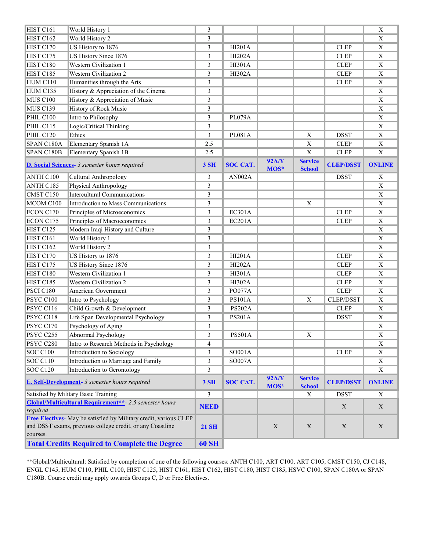| 3<br>HIST <sub>C162</sub><br>World History 2<br>3<br>$\mathbf X$<br>US History to 1876<br>3<br><b>HI201A</b><br><b>CLEP</b><br>$\mathbf X$<br>HIST C170<br>US History Since 1876<br>3<br><b>HI202A</b><br>$\mathbf X$<br>HIST C175<br><b>CLEP</b><br><b>Western Civilization 1</b><br>HIST C180<br>3<br><b>CLEP</b><br>$\mathbf X$<br>HI301A<br>$\overline{\mathbf{X}}$<br><b>Western Civilization 2</b><br>3<br>HIST C185<br>HI302A<br><b>CLEP</b><br>Humanities through the Arts<br>3<br>$\mathbf X$<br>HUM C110<br><b>CLEP</b><br>History & Appreciation of the Cinema<br>3<br>HUM C135<br>$\mathbf X$<br>History & Appreciation of Music<br>$\mathfrak{Z}$<br>MUS C100<br>$\mathbf X$<br><b>History of Rock Music</b><br>$\mathfrak{Z}$<br><b>MUS C139</b><br>$\mathbf X$<br>Intro to Philosophy<br>PHIL C100<br>3<br><b>PL079A</b><br>$\mathbf X$<br>PHIL C115<br>Logic/Critical Thinking<br>3<br>$\mathbf X$<br>Ethics<br>3<br>PHIL C120<br><b>PL081A</b><br>$\mathbf X$<br><b>DSST</b><br>$\mathbf X$<br>Elementary Spanish 1A<br>2.5<br>$\mathbf X$<br><b>CLEP</b><br>$\mathbf X$<br>SPAN C180A<br>$\overline{X}$<br>Elementary Spanish 1B<br><b>CLEP</b><br>$\mathbf X$<br>SPAN C180B<br>2.5<br><b>92A/Y</b><br><b>Service</b><br><b>SOC CAT.</b><br><b>CLEP/DSST</b><br><b>ONLINE</b><br><b>D. Social Sciences</b> - 3 semester hours required<br>3 SH<br>MOS*<br><b>School</b><br>Cultural Anthropology<br>3<br>$\mathbf X$<br>ANTH C100<br><b>DSST</b><br>AN002A<br>3<br>$\overline{\mathbf{X}}$<br>ANTH C185<br>Physical Anthropology<br><b>Intercultural Communications</b><br>3<br>$\mathbf X$<br>CMST C150<br>3<br>$\mathbf X$<br>$\overline{\mathbf{X}}$<br>MCOM C100<br>Introduction to Mass Communications<br>3<br><b>EC301A</b><br><b>CLEP</b><br>ECON C170<br>Principles of Microeconomics<br>$\mathbf X$<br>Principles of Macroeconomics<br>3<br>ECON C175<br>EC201A<br><b>CLEP</b><br>X<br>Modern Iraqi History and Culture<br>$\mathfrak{Z}$<br>HIST C125<br>$\mathbf X$<br>HIST C161<br>World History 1<br>3<br>$\mathbf X$<br>HIST C162<br>World History 2<br>3<br>$\overline{X}$<br><b>HI201A</b><br>HIST C170<br>US History to 1876<br>3<br><b>CLEP</b><br>$\mathbf X$<br>HIST C175<br>US History Since 1876<br>3<br><b>HI202A</b><br>$\mathbf X$<br><b>CLEP</b><br><b>Western Civilization 1</b><br>HIST C180<br>3<br>$\mathbf X$<br>HI301A<br><b>CLEP</b><br><b>Western Civilization 2</b><br>3<br>$\mathbf X$<br>HIST C185<br>HI302A<br><b>CLEP</b><br>3<br><b>CLEP</b><br>$\overline{\mathbf{X}}$<br>PSCI C180<br>American Government<br>PO077A<br>3<br>$\overline{PS101A}$<br>PSYC C100<br>Intro to Psychology<br>X<br><b>CLEP/DSST</b><br>$\mathbf X$<br>Child Growth & Development<br>$\mathfrak{Z}$<br>PSYC C116<br><b>PS202A</b><br>$\mathbf X$<br><b>CLEP</b><br>Life Span Developmental Psychology<br>$\mathfrak{Z}$<br>PSYC C118<br>PS201A<br>$\mathbf X$<br><b>DSST</b><br>PSYC C170<br>Psychology of Aging<br>$\mathfrak{Z}$<br>$\mathbf X$<br>PSYC C255<br>3<br><b>PS501A</b><br>X<br>$\mathbf X$<br>Abnormal Psychology<br>PSYC C280<br>Intro to Research Methods in Psychology<br>X<br>4<br><b>CLEP</b><br><b>SOC C100</b><br>Introduction to Sociology<br>3<br>SO001A<br>X<br>Introduction to Marriage and Family<br><b>SOC C110</b><br>3<br>SO007A<br>$\mathbf X$<br><b>SOC C120</b><br>Introduction to Gerontology<br>3<br>$\mathbf X$<br><b>92A/Y</b><br><b>Service</b><br>E. Self-Development- 3 semester hours required<br><b>3 SH</b><br><b>SOC CAT.</b><br><b>CLEP/DSST</b><br><b>ONLINE</b><br>MOS*<br><b>School</b><br>Satisfied by Military Basic Training<br>3<br><b>DSST</b><br>$\mathbf X$<br>X<br>Global/Multicultural Requirement**- 2.5 semester hours<br>X<br>$\mathbf X$<br><b>NEED</b><br>required<br>Free Electives- May be satisfied by Military credit, various CLEP<br>and DSST exams, previous college credit, or any Coastline<br><b>21 SH</b><br>$\mathbf X$<br>$\mathbf X$<br>$\mathbf X$<br>$\boldsymbol{\mathrm{X}}$<br>courses.<br><b>Total Credits Required to Complete the Degree</b><br><b>60 SH</b> |           |                 |  |  |             |
|-------------------------------------------------------------------------------------------------------------------------------------------------------------------------------------------------------------------------------------------------------------------------------------------------------------------------------------------------------------------------------------------------------------------------------------------------------------------------------------------------------------------------------------------------------------------------------------------------------------------------------------------------------------------------------------------------------------------------------------------------------------------------------------------------------------------------------------------------------------------------------------------------------------------------------------------------------------------------------------------------------------------------------------------------------------------------------------------------------------------------------------------------------------------------------------------------------------------------------------------------------------------------------------------------------------------------------------------------------------------------------------------------------------------------------------------------------------------------------------------------------------------------------------------------------------------------------------------------------------------------------------------------------------------------------------------------------------------------------------------------------------------------------------------------------------------------------------------------------------------------------------------------------------------------------------------------------------------------------------------------------------------------------------------------------------------------------------------------------------------------------------------------------------------------------------------------------------------------------------------------------------------------------------------------------------------------------------------------------------------------------------------------------------------------------------------------------------------------------------------------------------------------------------------------------------------------------------------------------------------------------------------------------------------------------------------------------------------------------------------------------------------------------------------------------------------------------------------------------------------------------------------------------------------------------------------------------------------------------------------------------------------------------------------------------------------------------------------------------------------------------------------------------------------------------------------------------------------------------------------------------------------------------------------------------------------------------------------------------------------------------------------------------------------------------------------------------------------------------------------------------------------------------------------------------------------------------------------------------------------------------------------------------------------------------------------------------------------------------------------------------------------------------------------------------------------------------------------------------------------------------------------------------------------------------------------------------------------------------------------------------------------------------------------------------------------------------------|-----------|-----------------|--|--|-------------|
|                                                                                                                                                                                                                                                                                                                                                                                                                                                                                                                                                                                                                                                                                                                                                                                                                                                                                                                                                                                                                                                                                                                                                                                                                                                                                                                                                                                                                                                                                                                                                                                                                                                                                                                                                                                                                                                                                                                                                                                                                                                                                                                                                                                                                                                                                                                                                                                                                                                                                                                                                                                                                                                                                                                                                                                                                                                                                                                                                                                                                                                                                                                                                                                                                                                                                                                                                                                                                                                                                                                                                                                                                                                                                                                                                                                                                                                                                                                                                                                                                                                                                     | HIST C161 | World History 1 |  |  | $\mathbf X$ |
|                                                                                                                                                                                                                                                                                                                                                                                                                                                                                                                                                                                                                                                                                                                                                                                                                                                                                                                                                                                                                                                                                                                                                                                                                                                                                                                                                                                                                                                                                                                                                                                                                                                                                                                                                                                                                                                                                                                                                                                                                                                                                                                                                                                                                                                                                                                                                                                                                                                                                                                                                                                                                                                                                                                                                                                                                                                                                                                                                                                                                                                                                                                                                                                                                                                                                                                                                                                                                                                                                                                                                                                                                                                                                                                                                                                                                                                                                                                                                                                                                                                                                     |           |                 |  |  |             |
|                                                                                                                                                                                                                                                                                                                                                                                                                                                                                                                                                                                                                                                                                                                                                                                                                                                                                                                                                                                                                                                                                                                                                                                                                                                                                                                                                                                                                                                                                                                                                                                                                                                                                                                                                                                                                                                                                                                                                                                                                                                                                                                                                                                                                                                                                                                                                                                                                                                                                                                                                                                                                                                                                                                                                                                                                                                                                                                                                                                                                                                                                                                                                                                                                                                                                                                                                                                                                                                                                                                                                                                                                                                                                                                                                                                                                                                                                                                                                                                                                                                                                     |           |                 |  |  |             |
|                                                                                                                                                                                                                                                                                                                                                                                                                                                                                                                                                                                                                                                                                                                                                                                                                                                                                                                                                                                                                                                                                                                                                                                                                                                                                                                                                                                                                                                                                                                                                                                                                                                                                                                                                                                                                                                                                                                                                                                                                                                                                                                                                                                                                                                                                                                                                                                                                                                                                                                                                                                                                                                                                                                                                                                                                                                                                                                                                                                                                                                                                                                                                                                                                                                                                                                                                                                                                                                                                                                                                                                                                                                                                                                                                                                                                                                                                                                                                                                                                                                                                     |           |                 |  |  |             |
|                                                                                                                                                                                                                                                                                                                                                                                                                                                                                                                                                                                                                                                                                                                                                                                                                                                                                                                                                                                                                                                                                                                                                                                                                                                                                                                                                                                                                                                                                                                                                                                                                                                                                                                                                                                                                                                                                                                                                                                                                                                                                                                                                                                                                                                                                                                                                                                                                                                                                                                                                                                                                                                                                                                                                                                                                                                                                                                                                                                                                                                                                                                                                                                                                                                                                                                                                                                                                                                                                                                                                                                                                                                                                                                                                                                                                                                                                                                                                                                                                                                                                     |           |                 |  |  |             |
|                                                                                                                                                                                                                                                                                                                                                                                                                                                                                                                                                                                                                                                                                                                                                                                                                                                                                                                                                                                                                                                                                                                                                                                                                                                                                                                                                                                                                                                                                                                                                                                                                                                                                                                                                                                                                                                                                                                                                                                                                                                                                                                                                                                                                                                                                                                                                                                                                                                                                                                                                                                                                                                                                                                                                                                                                                                                                                                                                                                                                                                                                                                                                                                                                                                                                                                                                                                                                                                                                                                                                                                                                                                                                                                                                                                                                                                                                                                                                                                                                                                                                     |           |                 |  |  |             |
|                                                                                                                                                                                                                                                                                                                                                                                                                                                                                                                                                                                                                                                                                                                                                                                                                                                                                                                                                                                                                                                                                                                                                                                                                                                                                                                                                                                                                                                                                                                                                                                                                                                                                                                                                                                                                                                                                                                                                                                                                                                                                                                                                                                                                                                                                                                                                                                                                                                                                                                                                                                                                                                                                                                                                                                                                                                                                                                                                                                                                                                                                                                                                                                                                                                                                                                                                                                                                                                                                                                                                                                                                                                                                                                                                                                                                                                                                                                                                                                                                                                                                     |           |                 |  |  |             |
|                                                                                                                                                                                                                                                                                                                                                                                                                                                                                                                                                                                                                                                                                                                                                                                                                                                                                                                                                                                                                                                                                                                                                                                                                                                                                                                                                                                                                                                                                                                                                                                                                                                                                                                                                                                                                                                                                                                                                                                                                                                                                                                                                                                                                                                                                                                                                                                                                                                                                                                                                                                                                                                                                                                                                                                                                                                                                                                                                                                                                                                                                                                                                                                                                                                                                                                                                                                                                                                                                                                                                                                                                                                                                                                                                                                                                                                                                                                                                                                                                                                                                     |           |                 |  |  |             |
|                                                                                                                                                                                                                                                                                                                                                                                                                                                                                                                                                                                                                                                                                                                                                                                                                                                                                                                                                                                                                                                                                                                                                                                                                                                                                                                                                                                                                                                                                                                                                                                                                                                                                                                                                                                                                                                                                                                                                                                                                                                                                                                                                                                                                                                                                                                                                                                                                                                                                                                                                                                                                                                                                                                                                                                                                                                                                                                                                                                                                                                                                                                                                                                                                                                                                                                                                                                                                                                                                                                                                                                                                                                                                                                                                                                                                                                                                                                                                                                                                                                                                     |           |                 |  |  |             |
|                                                                                                                                                                                                                                                                                                                                                                                                                                                                                                                                                                                                                                                                                                                                                                                                                                                                                                                                                                                                                                                                                                                                                                                                                                                                                                                                                                                                                                                                                                                                                                                                                                                                                                                                                                                                                                                                                                                                                                                                                                                                                                                                                                                                                                                                                                                                                                                                                                                                                                                                                                                                                                                                                                                                                                                                                                                                                                                                                                                                                                                                                                                                                                                                                                                                                                                                                                                                                                                                                                                                                                                                                                                                                                                                                                                                                                                                                                                                                                                                                                                                                     |           |                 |  |  |             |
|                                                                                                                                                                                                                                                                                                                                                                                                                                                                                                                                                                                                                                                                                                                                                                                                                                                                                                                                                                                                                                                                                                                                                                                                                                                                                                                                                                                                                                                                                                                                                                                                                                                                                                                                                                                                                                                                                                                                                                                                                                                                                                                                                                                                                                                                                                                                                                                                                                                                                                                                                                                                                                                                                                                                                                                                                                                                                                                                                                                                                                                                                                                                                                                                                                                                                                                                                                                                                                                                                                                                                                                                                                                                                                                                                                                                                                                                                                                                                                                                                                                                                     |           |                 |  |  |             |
|                                                                                                                                                                                                                                                                                                                                                                                                                                                                                                                                                                                                                                                                                                                                                                                                                                                                                                                                                                                                                                                                                                                                                                                                                                                                                                                                                                                                                                                                                                                                                                                                                                                                                                                                                                                                                                                                                                                                                                                                                                                                                                                                                                                                                                                                                                                                                                                                                                                                                                                                                                                                                                                                                                                                                                                                                                                                                                                                                                                                                                                                                                                                                                                                                                                                                                                                                                                                                                                                                                                                                                                                                                                                                                                                                                                                                                                                                                                                                                                                                                                                                     |           |                 |  |  |             |
|                                                                                                                                                                                                                                                                                                                                                                                                                                                                                                                                                                                                                                                                                                                                                                                                                                                                                                                                                                                                                                                                                                                                                                                                                                                                                                                                                                                                                                                                                                                                                                                                                                                                                                                                                                                                                                                                                                                                                                                                                                                                                                                                                                                                                                                                                                                                                                                                                                                                                                                                                                                                                                                                                                                                                                                                                                                                                                                                                                                                                                                                                                                                                                                                                                                                                                                                                                                                                                                                                                                                                                                                                                                                                                                                                                                                                                                                                                                                                                                                                                                                                     |           |                 |  |  |             |
|                                                                                                                                                                                                                                                                                                                                                                                                                                                                                                                                                                                                                                                                                                                                                                                                                                                                                                                                                                                                                                                                                                                                                                                                                                                                                                                                                                                                                                                                                                                                                                                                                                                                                                                                                                                                                                                                                                                                                                                                                                                                                                                                                                                                                                                                                                                                                                                                                                                                                                                                                                                                                                                                                                                                                                                                                                                                                                                                                                                                                                                                                                                                                                                                                                                                                                                                                                                                                                                                                                                                                                                                                                                                                                                                                                                                                                                                                                                                                                                                                                                                                     |           |                 |  |  |             |
|                                                                                                                                                                                                                                                                                                                                                                                                                                                                                                                                                                                                                                                                                                                                                                                                                                                                                                                                                                                                                                                                                                                                                                                                                                                                                                                                                                                                                                                                                                                                                                                                                                                                                                                                                                                                                                                                                                                                                                                                                                                                                                                                                                                                                                                                                                                                                                                                                                                                                                                                                                                                                                                                                                                                                                                                                                                                                                                                                                                                                                                                                                                                                                                                                                                                                                                                                                                                                                                                                                                                                                                                                                                                                                                                                                                                                                                                                                                                                                                                                                                                                     |           |                 |  |  |             |
|                                                                                                                                                                                                                                                                                                                                                                                                                                                                                                                                                                                                                                                                                                                                                                                                                                                                                                                                                                                                                                                                                                                                                                                                                                                                                                                                                                                                                                                                                                                                                                                                                                                                                                                                                                                                                                                                                                                                                                                                                                                                                                                                                                                                                                                                                                                                                                                                                                                                                                                                                                                                                                                                                                                                                                                                                                                                                                                                                                                                                                                                                                                                                                                                                                                                                                                                                                                                                                                                                                                                                                                                                                                                                                                                                                                                                                                                                                                                                                                                                                                                                     |           |                 |  |  |             |
|                                                                                                                                                                                                                                                                                                                                                                                                                                                                                                                                                                                                                                                                                                                                                                                                                                                                                                                                                                                                                                                                                                                                                                                                                                                                                                                                                                                                                                                                                                                                                                                                                                                                                                                                                                                                                                                                                                                                                                                                                                                                                                                                                                                                                                                                                                                                                                                                                                                                                                                                                                                                                                                                                                                                                                                                                                                                                                                                                                                                                                                                                                                                                                                                                                                                                                                                                                                                                                                                                                                                                                                                                                                                                                                                                                                                                                                                                                                                                                                                                                                                                     |           |                 |  |  |             |
|                                                                                                                                                                                                                                                                                                                                                                                                                                                                                                                                                                                                                                                                                                                                                                                                                                                                                                                                                                                                                                                                                                                                                                                                                                                                                                                                                                                                                                                                                                                                                                                                                                                                                                                                                                                                                                                                                                                                                                                                                                                                                                                                                                                                                                                                                                                                                                                                                                                                                                                                                                                                                                                                                                                                                                                                                                                                                                                                                                                                                                                                                                                                                                                                                                                                                                                                                                                                                                                                                                                                                                                                                                                                                                                                                                                                                                                                                                                                                                                                                                                                                     |           |                 |  |  |             |
|                                                                                                                                                                                                                                                                                                                                                                                                                                                                                                                                                                                                                                                                                                                                                                                                                                                                                                                                                                                                                                                                                                                                                                                                                                                                                                                                                                                                                                                                                                                                                                                                                                                                                                                                                                                                                                                                                                                                                                                                                                                                                                                                                                                                                                                                                                                                                                                                                                                                                                                                                                                                                                                                                                                                                                                                                                                                                                                                                                                                                                                                                                                                                                                                                                                                                                                                                                                                                                                                                                                                                                                                                                                                                                                                                                                                                                                                                                                                                                                                                                                                                     |           |                 |  |  |             |
|                                                                                                                                                                                                                                                                                                                                                                                                                                                                                                                                                                                                                                                                                                                                                                                                                                                                                                                                                                                                                                                                                                                                                                                                                                                                                                                                                                                                                                                                                                                                                                                                                                                                                                                                                                                                                                                                                                                                                                                                                                                                                                                                                                                                                                                                                                                                                                                                                                                                                                                                                                                                                                                                                                                                                                                                                                                                                                                                                                                                                                                                                                                                                                                                                                                                                                                                                                                                                                                                                                                                                                                                                                                                                                                                                                                                                                                                                                                                                                                                                                                                                     |           |                 |  |  |             |
|                                                                                                                                                                                                                                                                                                                                                                                                                                                                                                                                                                                                                                                                                                                                                                                                                                                                                                                                                                                                                                                                                                                                                                                                                                                                                                                                                                                                                                                                                                                                                                                                                                                                                                                                                                                                                                                                                                                                                                                                                                                                                                                                                                                                                                                                                                                                                                                                                                                                                                                                                                                                                                                                                                                                                                                                                                                                                                                                                                                                                                                                                                                                                                                                                                                                                                                                                                                                                                                                                                                                                                                                                                                                                                                                                                                                                                                                                                                                                                                                                                                                                     |           |                 |  |  |             |
|                                                                                                                                                                                                                                                                                                                                                                                                                                                                                                                                                                                                                                                                                                                                                                                                                                                                                                                                                                                                                                                                                                                                                                                                                                                                                                                                                                                                                                                                                                                                                                                                                                                                                                                                                                                                                                                                                                                                                                                                                                                                                                                                                                                                                                                                                                                                                                                                                                                                                                                                                                                                                                                                                                                                                                                                                                                                                                                                                                                                                                                                                                                                                                                                                                                                                                                                                                                                                                                                                                                                                                                                                                                                                                                                                                                                                                                                                                                                                                                                                                                                                     |           |                 |  |  |             |
|                                                                                                                                                                                                                                                                                                                                                                                                                                                                                                                                                                                                                                                                                                                                                                                                                                                                                                                                                                                                                                                                                                                                                                                                                                                                                                                                                                                                                                                                                                                                                                                                                                                                                                                                                                                                                                                                                                                                                                                                                                                                                                                                                                                                                                                                                                                                                                                                                                                                                                                                                                                                                                                                                                                                                                                                                                                                                                                                                                                                                                                                                                                                                                                                                                                                                                                                                                                                                                                                                                                                                                                                                                                                                                                                                                                                                                                                                                                                                                                                                                                                                     |           |                 |  |  |             |
|                                                                                                                                                                                                                                                                                                                                                                                                                                                                                                                                                                                                                                                                                                                                                                                                                                                                                                                                                                                                                                                                                                                                                                                                                                                                                                                                                                                                                                                                                                                                                                                                                                                                                                                                                                                                                                                                                                                                                                                                                                                                                                                                                                                                                                                                                                                                                                                                                                                                                                                                                                                                                                                                                                                                                                                                                                                                                                                                                                                                                                                                                                                                                                                                                                                                                                                                                                                                                                                                                                                                                                                                                                                                                                                                                                                                                                                                                                                                                                                                                                                                                     |           |                 |  |  |             |
|                                                                                                                                                                                                                                                                                                                                                                                                                                                                                                                                                                                                                                                                                                                                                                                                                                                                                                                                                                                                                                                                                                                                                                                                                                                                                                                                                                                                                                                                                                                                                                                                                                                                                                                                                                                                                                                                                                                                                                                                                                                                                                                                                                                                                                                                                                                                                                                                                                                                                                                                                                                                                                                                                                                                                                                                                                                                                                                                                                                                                                                                                                                                                                                                                                                                                                                                                                                                                                                                                                                                                                                                                                                                                                                                                                                                                                                                                                                                                                                                                                                                                     |           |                 |  |  |             |
|                                                                                                                                                                                                                                                                                                                                                                                                                                                                                                                                                                                                                                                                                                                                                                                                                                                                                                                                                                                                                                                                                                                                                                                                                                                                                                                                                                                                                                                                                                                                                                                                                                                                                                                                                                                                                                                                                                                                                                                                                                                                                                                                                                                                                                                                                                                                                                                                                                                                                                                                                                                                                                                                                                                                                                                                                                                                                                                                                                                                                                                                                                                                                                                                                                                                                                                                                                                                                                                                                                                                                                                                                                                                                                                                                                                                                                                                                                                                                                                                                                                                                     |           |                 |  |  |             |
|                                                                                                                                                                                                                                                                                                                                                                                                                                                                                                                                                                                                                                                                                                                                                                                                                                                                                                                                                                                                                                                                                                                                                                                                                                                                                                                                                                                                                                                                                                                                                                                                                                                                                                                                                                                                                                                                                                                                                                                                                                                                                                                                                                                                                                                                                                                                                                                                                                                                                                                                                                                                                                                                                                                                                                                                                                                                                                                                                                                                                                                                                                                                                                                                                                                                                                                                                                                                                                                                                                                                                                                                                                                                                                                                                                                                                                                                                                                                                                                                                                                                                     |           |                 |  |  |             |
|                                                                                                                                                                                                                                                                                                                                                                                                                                                                                                                                                                                                                                                                                                                                                                                                                                                                                                                                                                                                                                                                                                                                                                                                                                                                                                                                                                                                                                                                                                                                                                                                                                                                                                                                                                                                                                                                                                                                                                                                                                                                                                                                                                                                                                                                                                                                                                                                                                                                                                                                                                                                                                                                                                                                                                                                                                                                                                                                                                                                                                                                                                                                                                                                                                                                                                                                                                                                                                                                                                                                                                                                                                                                                                                                                                                                                                                                                                                                                                                                                                                                                     |           |                 |  |  |             |
|                                                                                                                                                                                                                                                                                                                                                                                                                                                                                                                                                                                                                                                                                                                                                                                                                                                                                                                                                                                                                                                                                                                                                                                                                                                                                                                                                                                                                                                                                                                                                                                                                                                                                                                                                                                                                                                                                                                                                                                                                                                                                                                                                                                                                                                                                                                                                                                                                                                                                                                                                                                                                                                                                                                                                                                                                                                                                                                                                                                                                                                                                                                                                                                                                                                                                                                                                                                                                                                                                                                                                                                                                                                                                                                                                                                                                                                                                                                                                                                                                                                                                     |           |                 |  |  |             |
|                                                                                                                                                                                                                                                                                                                                                                                                                                                                                                                                                                                                                                                                                                                                                                                                                                                                                                                                                                                                                                                                                                                                                                                                                                                                                                                                                                                                                                                                                                                                                                                                                                                                                                                                                                                                                                                                                                                                                                                                                                                                                                                                                                                                                                                                                                                                                                                                                                                                                                                                                                                                                                                                                                                                                                                                                                                                                                                                                                                                                                                                                                                                                                                                                                                                                                                                                                                                                                                                                                                                                                                                                                                                                                                                                                                                                                                                                                                                                                                                                                                                                     |           |                 |  |  |             |
|                                                                                                                                                                                                                                                                                                                                                                                                                                                                                                                                                                                                                                                                                                                                                                                                                                                                                                                                                                                                                                                                                                                                                                                                                                                                                                                                                                                                                                                                                                                                                                                                                                                                                                                                                                                                                                                                                                                                                                                                                                                                                                                                                                                                                                                                                                                                                                                                                                                                                                                                                                                                                                                                                                                                                                                                                                                                                                                                                                                                                                                                                                                                                                                                                                                                                                                                                                                                                                                                                                                                                                                                                                                                                                                                                                                                                                                                                                                                                                                                                                                                                     |           |                 |  |  |             |
|                                                                                                                                                                                                                                                                                                                                                                                                                                                                                                                                                                                                                                                                                                                                                                                                                                                                                                                                                                                                                                                                                                                                                                                                                                                                                                                                                                                                                                                                                                                                                                                                                                                                                                                                                                                                                                                                                                                                                                                                                                                                                                                                                                                                                                                                                                                                                                                                                                                                                                                                                                                                                                                                                                                                                                                                                                                                                                                                                                                                                                                                                                                                                                                                                                                                                                                                                                                                                                                                                                                                                                                                                                                                                                                                                                                                                                                                                                                                                                                                                                                                                     |           |                 |  |  |             |
|                                                                                                                                                                                                                                                                                                                                                                                                                                                                                                                                                                                                                                                                                                                                                                                                                                                                                                                                                                                                                                                                                                                                                                                                                                                                                                                                                                                                                                                                                                                                                                                                                                                                                                                                                                                                                                                                                                                                                                                                                                                                                                                                                                                                                                                                                                                                                                                                                                                                                                                                                                                                                                                                                                                                                                                                                                                                                                                                                                                                                                                                                                                                                                                                                                                                                                                                                                                                                                                                                                                                                                                                                                                                                                                                                                                                                                                                                                                                                                                                                                                                                     |           |                 |  |  |             |
|                                                                                                                                                                                                                                                                                                                                                                                                                                                                                                                                                                                                                                                                                                                                                                                                                                                                                                                                                                                                                                                                                                                                                                                                                                                                                                                                                                                                                                                                                                                                                                                                                                                                                                                                                                                                                                                                                                                                                                                                                                                                                                                                                                                                                                                                                                                                                                                                                                                                                                                                                                                                                                                                                                                                                                                                                                                                                                                                                                                                                                                                                                                                                                                                                                                                                                                                                                                                                                                                                                                                                                                                                                                                                                                                                                                                                                                                                                                                                                                                                                                                                     |           |                 |  |  |             |
|                                                                                                                                                                                                                                                                                                                                                                                                                                                                                                                                                                                                                                                                                                                                                                                                                                                                                                                                                                                                                                                                                                                                                                                                                                                                                                                                                                                                                                                                                                                                                                                                                                                                                                                                                                                                                                                                                                                                                                                                                                                                                                                                                                                                                                                                                                                                                                                                                                                                                                                                                                                                                                                                                                                                                                                                                                                                                                                                                                                                                                                                                                                                                                                                                                                                                                                                                                                                                                                                                                                                                                                                                                                                                                                                                                                                                                                                                                                                                                                                                                                                                     |           |                 |  |  |             |
|                                                                                                                                                                                                                                                                                                                                                                                                                                                                                                                                                                                                                                                                                                                                                                                                                                                                                                                                                                                                                                                                                                                                                                                                                                                                                                                                                                                                                                                                                                                                                                                                                                                                                                                                                                                                                                                                                                                                                                                                                                                                                                                                                                                                                                                                                                                                                                                                                                                                                                                                                                                                                                                                                                                                                                                                                                                                                                                                                                                                                                                                                                                                                                                                                                                                                                                                                                                                                                                                                                                                                                                                                                                                                                                                                                                                                                                                                                                                                                                                                                                                                     |           |                 |  |  |             |
|                                                                                                                                                                                                                                                                                                                                                                                                                                                                                                                                                                                                                                                                                                                                                                                                                                                                                                                                                                                                                                                                                                                                                                                                                                                                                                                                                                                                                                                                                                                                                                                                                                                                                                                                                                                                                                                                                                                                                                                                                                                                                                                                                                                                                                                                                                                                                                                                                                                                                                                                                                                                                                                                                                                                                                                                                                                                                                                                                                                                                                                                                                                                                                                                                                                                                                                                                                                                                                                                                                                                                                                                                                                                                                                                                                                                                                                                                                                                                                                                                                                                                     |           |                 |  |  |             |
|                                                                                                                                                                                                                                                                                                                                                                                                                                                                                                                                                                                                                                                                                                                                                                                                                                                                                                                                                                                                                                                                                                                                                                                                                                                                                                                                                                                                                                                                                                                                                                                                                                                                                                                                                                                                                                                                                                                                                                                                                                                                                                                                                                                                                                                                                                                                                                                                                                                                                                                                                                                                                                                                                                                                                                                                                                                                                                                                                                                                                                                                                                                                                                                                                                                                                                                                                                                                                                                                                                                                                                                                                                                                                                                                                                                                                                                                                                                                                                                                                                                                                     |           |                 |  |  |             |
|                                                                                                                                                                                                                                                                                                                                                                                                                                                                                                                                                                                                                                                                                                                                                                                                                                                                                                                                                                                                                                                                                                                                                                                                                                                                                                                                                                                                                                                                                                                                                                                                                                                                                                                                                                                                                                                                                                                                                                                                                                                                                                                                                                                                                                                                                                                                                                                                                                                                                                                                                                                                                                                                                                                                                                                                                                                                                                                                                                                                                                                                                                                                                                                                                                                                                                                                                                                                                                                                                                                                                                                                                                                                                                                                                                                                                                                                                                                                                                                                                                                                                     |           |                 |  |  |             |
|                                                                                                                                                                                                                                                                                                                                                                                                                                                                                                                                                                                                                                                                                                                                                                                                                                                                                                                                                                                                                                                                                                                                                                                                                                                                                                                                                                                                                                                                                                                                                                                                                                                                                                                                                                                                                                                                                                                                                                                                                                                                                                                                                                                                                                                                                                                                                                                                                                                                                                                                                                                                                                                                                                                                                                                                                                                                                                                                                                                                                                                                                                                                                                                                                                                                                                                                                                                                                                                                                                                                                                                                                                                                                                                                                                                                                                                                                                                                                                                                                                                                                     |           |                 |  |  |             |
|                                                                                                                                                                                                                                                                                                                                                                                                                                                                                                                                                                                                                                                                                                                                                                                                                                                                                                                                                                                                                                                                                                                                                                                                                                                                                                                                                                                                                                                                                                                                                                                                                                                                                                                                                                                                                                                                                                                                                                                                                                                                                                                                                                                                                                                                                                                                                                                                                                                                                                                                                                                                                                                                                                                                                                                                                                                                                                                                                                                                                                                                                                                                                                                                                                                                                                                                                                                                                                                                                                                                                                                                                                                                                                                                                                                                                                                                                                                                                                                                                                                                                     |           |                 |  |  |             |
|                                                                                                                                                                                                                                                                                                                                                                                                                                                                                                                                                                                                                                                                                                                                                                                                                                                                                                                                                                                                                                                                                                                                                                                                                                                                                                                                                                                                                                                                                                                                                                                                                                                                                                                                                                                                                                                                                                                                                                                                                                                                                                                                                                                                                                                                                                                                                                                                                                                                                                                                                                                                                                                                                                                                                                                                                                                                                                                                                                                                                                                                                                                                                                                                                                                                                                                                                                                                                                                                                                                                                                                                                                                                                                                                                                                                                                                                                                                                                                                                                                                                                     |           |                 |  |  |             |
|                                                                                                                                                                                                                                                                                                                                                                                                                                                                                                                                                                                                                                                                                                                                                                                                                                                                                                                                                                                                                                                                                                                                                                                                                                                                                                                                                                                                                                                                                                                                                                                                                                                                                                                                                                                                                                                                                                                                                                                                                                                                                                                                                                                                                                                                                                                                                                                                                                                                                                                                                                                                                                                                                                                                                                                                                                                                                                                                                                                                                                                                                                                                                                                                                                                                                                                                                                                                                                                                                                                                                                                                                                                                                                                                                                                                                                                                                                                                                                                                                                                                                     |           |                 |  |  |             |
|                                                                                                                                                                                                                                                                                                                                                                                                                                                                                                                                                                                                                                                                                                                                                                                                                                                                                                                                                                                                                                                                                                                                                                                                                                                                                                                                                                                                                                                                                                                                                                                                                                                                                                                                                                                                                                                                                                                                                                                                                                                                                                                                                                                                                                                                                                                                                                                                                                                                                                                                                                                                                                                                                                                                                                                                                                                                                                                                                                                                                                                                                                                                                                                                                                                                                                                                                                                                                                                                                                                                                                                                                                                                                                                                                                                                                                                                                                                                                                                                                                                                                     |           |                 |  |  |             |
|                                                                                                                                                                                                                                                                                                                                                                                                                                                                                                                                                                                                                                                                                                                                                                                                                                                                                                                                                                                                                                                                                                                                                                                                                                                                                                                                                                                                                                                                                                                                                                                                                                                                                                                                                                                                                                                                                                                                                                                                                                                                                                                                                                                                                                                                                                                                                                                                                                                                                                                                                                                                                                                                                                                                                                                                                                                                                                                                                                                                                                                                                                                                                                                                                                                                                                                                                                                                                                                                                                                                                                                                                                                                                                                                                                                                                                                                                                                                                                                                                                                                                     |           |                 |  |  |             |
|                                                                                                                                                                                                                                                                                                                                                                                                                                                                                                                                                                                                                                                                                                                                                                                                                                                                                                                                                                                                                                                                                                                                                                                                                                                                                                                                                                                                                                                                                                                                                                                                                                                                                                                                                                                                                                                                                                                                                                                                                                                                                                                                                                                                                                                                                                                                                                                                                                                                                                                                                                                                                                                                                                                                                                                                                                                                                                                                                                                                                                                                                                                                                                                                                                                                                                                                                                                                                                                                                                                                                                                                                                                                                                                                                                                                                                                                                                                                                                                                                                                                                     |           |                 |  |  |             |
|                                                                                                                                                                                                                                                                                                                                                                                                                                                                                                                                                                                                                                                                                                                                                                                                                                                                                                                                                                                                                                                                                                                                                                                                                                                                                                                                                                                                                                                                                                                                                                                                                                                                                                                                                                                                                                                                                                                                                                                                                                                                                                                                                                                                                                                                                                                                                                                                                                                                                                                                                                                                                                                                                                                                                                                                                                                                                                                                                                                                                                                                                                                                                                                                                                                                                                                                                                                                                                                                                                                                                                                                                                                                                                                                                                                                                                                                                                                                                                                                                                                                                     |           |                 |  |  |             |

\*\*Global/Multicultural: Satisfied by completion of one of the following courses: ANTH C100, ART C100, ART C105, CMST C150, CJ C148, ENGL C145, HUM C110, PHIL C100, HIST C125, HIST C161, HIST C162, HIST C180, HIST C185, HSVC C100, SPAN C180A or SPAN C180B. Course credit may apply towards Groups C, D or Free Electives.